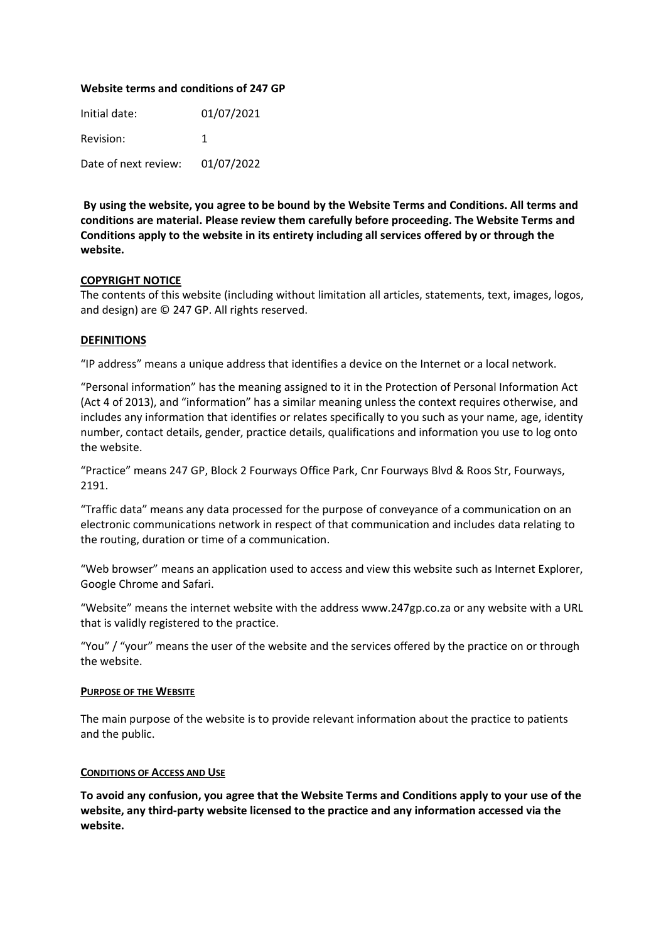### **Website terms and conditions of 247 GP**

Initial date: 01/07/2021 Revision: 1 Date of next review: 01/07/2022

**By using the website, you agree to be bound by the Website Terms and Conditions. All terms and conditions are material. Please review them carefully before proceeding. The Website Terms and Conditions apply to the website in its entirety including all services offered by or through the website.** 

### **COPYRIGHT NOTICE**

The contents of this website (including without limitation all articles, statements, text, images, logos, and design) are © 247 GP. All rights reserved.

### **DEFINITIONS**

"IP address" means a unique address that identifies a device on the Internet or a local network.

"Personal information" has the meaning assigned to it in the Protection of Personal Information Act (Act 4 of 2013), and "information" has a similar meaning unless the context requires otherwise, and includes any information that identifies or relates specifically to you such as your name, age, identity number, contact details, gender, practice details, qualifications and information you use to log onto the website.

"Practice" means 247 GP, Block 2 Fourways Office Park, Cnr Fourways Blvd & Roos Str, Fourways, 2191.

"Traffic data" means any data processed for the purpose of conveyance of a communication on an electronic communications network in respect of that communication and includes data relating to the routing, duration or time of a communication.

"Web browser" means an application used to access and view this website such as Internet Explorer, Google Chrome and Safari.

"Website" means the internet website with the address www.247gp.co.za or any website with a URL that is validly registered to the practice.

"You" / "your" means the user of the website and the services offered by the practice on or through the website.

### **PURPOSE OF THE WEBSITE**

The main purpose of the website is to provide relevant information about the practice to patients and the public.

### **CONDITIONS OF ACCESS AND USE**

**To avoid any confusion, you agree that the Website Terms and Conditions apply to your use of the website, any third-party website licensed to the practice and any information accessed via the website.**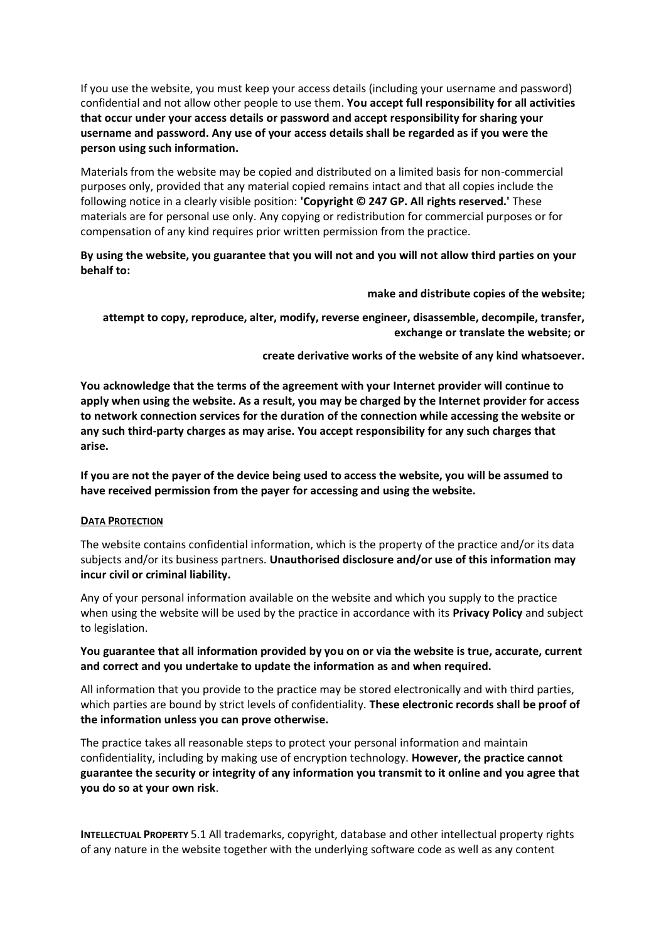If you use the website, you must keep your access details (including your username and password) confidential and not allow other people to use them. **You accept full responsibility for all activities that occur under your access details or password and accept responsibility for sharing your username and password. Any use of your access details shall be regarded as if you were the person using such information.** 

Materials from the website may be copied and distributed on a limited basis for non-commercial purposes only, provided that any material copied remains intact and that all copies include the following notice in a clearly visible position: **'Copyright © 247 GP. All rights reserved.'** These materials are for personal use only. Any copying or redistribution for commercial purposes or for compensation of any kind requires prior written permission from the practice.

**By using the website, you guarantee that you will not and you will not allow third parties on your behalf to:**

**make and distribute copies of the website;** 

**attempt to copy, reproduce, alter, modify, reverse engineer, disassemble, decompile, transfer, exchange or translate the website; or** 

**create derivative works of the website of any kind whatsoever.** 

**You acknowledge that the terms of the agreement with your Internet provider will continue to apply when using the website. As a result, you may be charged by the Internet provider for access to network connection services for the duration of the connection while accessing the website or any such third-party charges as may arise. You accept responsibility for any such charges that arise.** 

**If you are not the payer of the device being used to access the website, you will be assumed to have received permission from the payer for accessing and using the website.** 

# **DATA PROTECTION**

The website contains confidential information, which is the property of the practice and/or its data subjects and/or its business partners. **Unauthorised disclosure and/or use of this information may incur civil or criminal liability.** 

Any of your personal information available on the website and which you supply to the practice when using the website will be used by the practice in accordance with its **Privacy Policy** and subject to legislation.

**You guarantee that all information provided by you on or via the website is true, accurate, current and correct and you undertake to update the information as and when required.** 

All information that you provide to the practice may be stored electronically and with third parties, which parties are bound by strict levels of confidentiality. **These electronic records shall be proof of the information unless you can prove otherwise.** 

The practice takes all reasonable steps to protect your personal information and maintain confidentiality, including by making use of encryption technology. **However, the practice cannot guarantee the security or integrity of any information you transmit to it online and you agree that you do so at your own risk**.

**INTELLECTUAL PROPERTY** 5.1 All trademarks, copyright, database and other intellectual property rights of any nature in the website together with the underlying software code as well as any content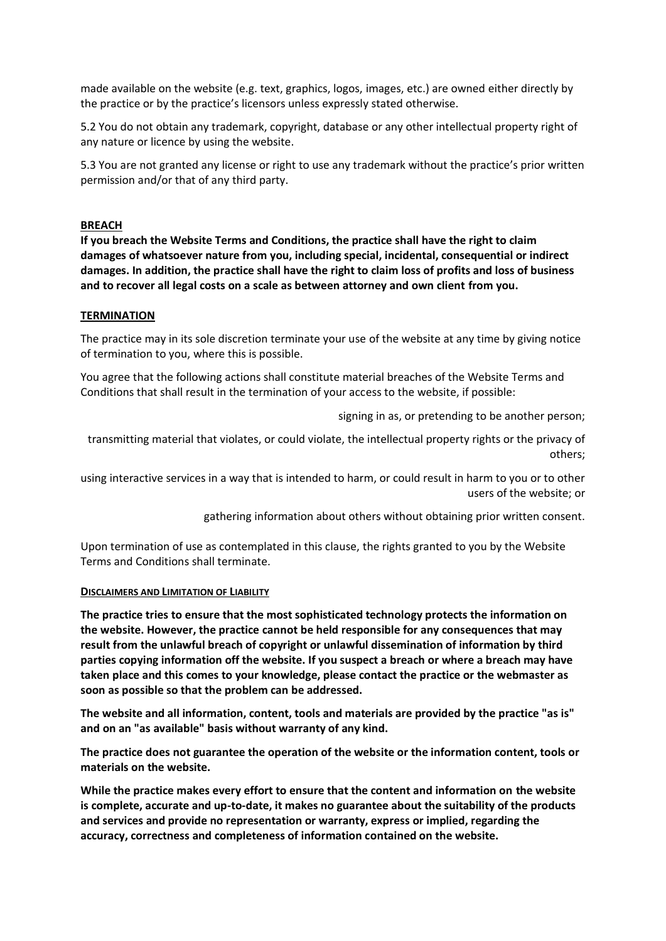made available on the website (e.g. text, graphics, logos, images, etc.) are owned either directly by the practice or by the practice's licensors unless expressly stated otherwise.

5.2 You do not obtain any trademark, copyright, database or any other intellectual property right of any nature or licence by using the website.

5.3 You are not granted any license or right to use any trademark without the practice's prior written permission and/or that of any third party.

# **BREACH**

**If you breach the Website Terms and Conditions, the practice shall have the right to claim damages of whatsoever nature from you, including special, incidental, consequential or indirect damages. In addition, the practice shall have the right to claim loss of profits and loss of business and to recover all legal costs on a scale as between attorney and own client from you.** 

### **TERMINATION**

The practice may in its sole discretion terminate your use of the website at any time by giving notice of termination to you, where this is possible.

You agree that the following actions shall constitute material breaches of the Website Terms and Conditions that shall result in the termination of your access to the website, if possible:

signing in as, or pretending to be another person;

transmitting material that violates, or could violate, the intellectual property rights or the privacy of others;

using interactive services in a way that is intended to harm, or could result in harm to you or to other users of the website; or

gathering information about others without obtaining prior written consent.

Upon termination of use as contemplated in this clause, the rights granted to you by the Website Terms and Conditions shall terminate.

#### **DISCLAIMERS AND LIMITATION OF LIABILITY**

**The practice tries to ensure that the most sophisticated technology protects the information on the website. However, the practice cannot be held responsible for any consequences that may result from the unlawful breach of copyright or unlawful dissemination of information by third parties copying information off the website. If you suspect a breach or where a breach may have taken place and this comes to your knowledge, please contact the practice or the webmaster as soon as possible so that the problem can be addressed.** 

**The website and all information, content, tools and materials are provided by the practice "as is" and on an "as available" basis without warranty of any kind.** 

**The practice does not guarantee the operation of the website or the information content, tools or materials on the website.** 

**While the practice makes every effort to ensure that the content and information on the website is complete, accurate and up-to-date, it makes no guarantee about the suitability of the products and services and provide no representation or warranty, express or implied, regarding the accuracy, correctness and completeness of information contained on the website.**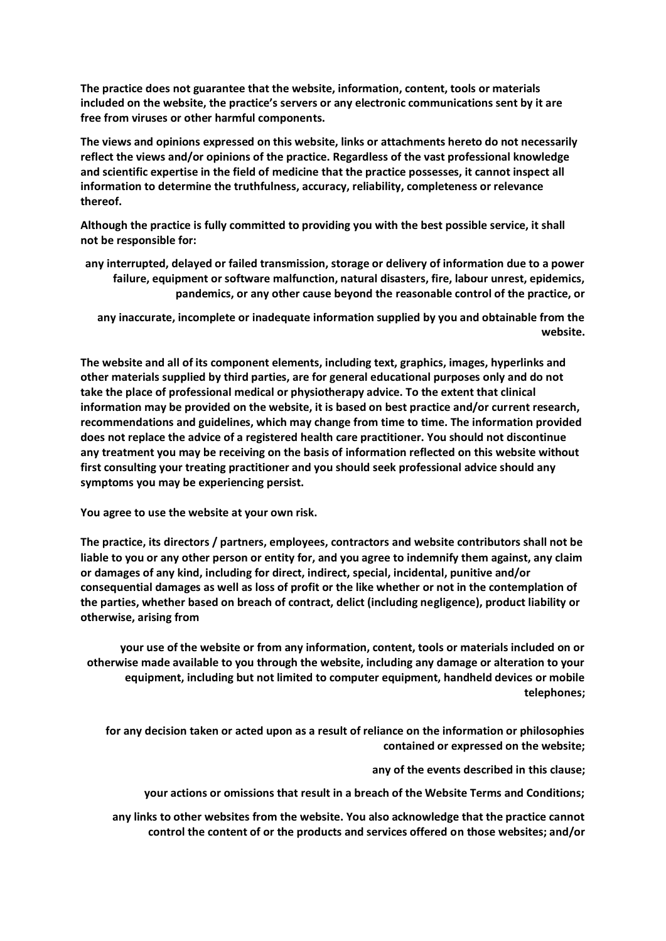**The practice does not guarantee that the website, information, content, tools or materials included on the website, the practice's servers or any electronic communications sent by it are free from viruses or other harmful components.** 

**The views and opinions expressed on this website, links or attachments hereto do not necessarily reflect the views and/or opinions of the practice. Regardless of the vast professional knowledge and scientific expertise in the field of medicine that the practice possesses, it cannot inspect all information to determine the truthfulness, accuracy, reliability, completeness or relevance thereof.** 

**Although the practice is fully committed to providing you with the best possible service, it shall not be responsible for:** 

**any interrupted, delayed or failed transmission, storage or delivery of information due to a power failure, equipment or software malfunction, natural disasters, fire, labour unrest, epidemics, pandemics, or any other cause beyond the reasonable control of the practice, or** 

**any inaccurate, incomplete or inadequate information supplied by you and obtainable from the website.** 

**The website and all of its component elements, including text, graphics, images, hyperlinks and other materials supplied by third parties, are for general educational purposes only and do not take the place of professional medical or physiotherapy advice. To the extent that clinical information may be provided on the website, it is based on best practice and/or current research, recommendations and guidelines, which may change from time to time. The information provided does not replace the advice of a registered health care practitioner. You should not discontinue any treatment you may be receiving on the basis of information reflected on this website without first consulting your treating practitioner and you should seek professional advice should any symptoms you may be experiencing persist.** 

**You agree to use the website at your own risk.** 

**The practice, its directors / partners, employees, contractors and website contributors shall not be liable to you or any other person or entity for, and you agree to indemnify them against, any claim or damages of any kind, including for direct, indirect, special, incidental, punitive and/or consequential damages as well as loss of profit or the like whether or not in the contemplation of the parties, whether based on breach of contract, delict (including negligence), product liability or otherwise, arising from**

**your use of the website or from any information, content, tools or materials included on or otherwise made available to you through the website, including any damage or alteration to your equipment, including but not limited to computer equipment, handheld devices or mobile telephones;** 

**for any decision taken or acted upon as a result of reliance on the information or philosophies contained or expressed on the website;** 

**any of the events described in this clause;** 

**your actions or omissions that result in a breach of the Website Terms and Conditions;** 

**any links to other websites from the website. You also acknowledge that the practice cannot control the content of or the products and services offered on those websites; and/or**